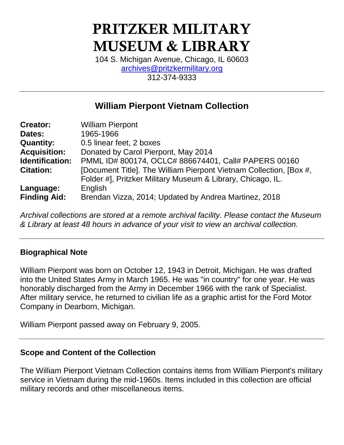# PRITZKER MILITARY MUSEUM & LIBRARY

104 S. Michigan Avenue, Chicago, IL 60603 [archives@pritzkermilitary.org](mailto:archives@pritzkermilitary.org) 312-374-9333

# **William Pierpont Vietnam Collection**

| <b>Creator:</b>     | <b>William Pierpont</b>                                            |  |  |
|---------------------|--------------------------------------------------------------------|--|--|
| Dates:              | 1965-1966                                                          |  |  |
| <b>Quantity:</b>    | 0.5 linear feet, 2 boxes                                           |  |  |
| <b>Acquisition:</b> | Donated by Carol Pierpont, May 2014                                |  |  |
| Identification:     | PMML ID# 800174, OCLC# 886674401, Call# PAPERS 00160               |  |  |
| <b>Citation:</b>    | [Document Title]. The William Pierpont Vietnam Collection, [Box #, |  |  |
|                     | Folder #], Pritzker Military Museum & Library, Chicago, IL.        |  |  |
| Language:           | English                                                            |  |  |
| <b>Finding Aid:</b> | Brendan Vizza, 2014; Updated by Andrea Martinez, 2018              |  |  |

*Archival collections are stored at a remote archival facility. Please contact the Museum & Library at least 48 hours in advance of your visit to view an archival collection.*

#### **Biographical Note**

William Pierpont was born on October 12, 1943 in Detroit, Michigan. He was drafted into the United States Army in March 1965. He was "in country" for one year. He was honorably discharged from the Army in December 1966 with the rank of Specialist. After military service, he returned to civilian life as a graphic artist for the Ford Motor Company in Dearborn, Michigan.

William Pierpont passed away on February 9, 2005.

#### **Scope and Content of the Collection**

The William Pierpont Vietnam Collection contains items from William Pierpont's military service in Vietnam during the mid-1960s. Items included in this collection are official military records and other miscellaneous items.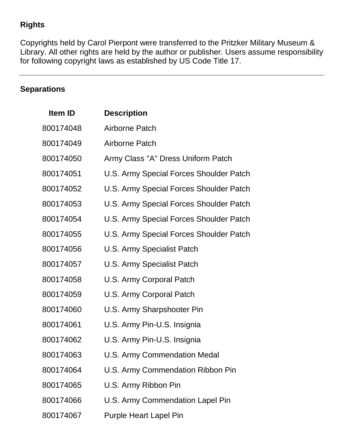## **Rights**

Copyrights held by Carol Pierpont were transferred to the Pritzker Military Museum & Library. All other rights are held by the author or publisher. Users assume responsibility for following copyright laws as established by US Code Title 17.

# **Separations**

| Item ID   | <b>Description</b>                      |
|-----------|-----------------------------------------|
| 800174048 | Airborne Patch                          |
| 800174049 | <b>Airborne Patch</b>                   |
| 800174050 | Army Class "A" Dress Uniform Patch      |
| 800174051 | U.S. Army Special Forces Shoulder Patch |
| 800174052 | U.S. Army Special Forces Shoulder Patch |
| 800174053 | U.S. Army Special Forces Shoulder Patch |
| 800174054 | U.S. Army Special Forces Shoulder Patch |
| 800174055 | U.S. Army Special Forces Shoulder Patch |
| 800174056 | <b>U.S. Army Specialist Patch</b>       |
| 800174057 | <b>U.S. Army Specialist Patch</b>       |
| 800174058 | U.S. Army Corporal Patch                |
| 800174059 | U.S. Army Corporal Patch                |
| 800174060 | U.S. Army Sharpshooter Pin              |
| 800174061 | U.S. Army Pin-U.S. Insignia             |
| 800174062 | U.S. Army Pin-U.S. Insignia             |
| 800174063 | U.S. Army Commendation Medal            |
| 800174064 | U.S. Army Commendation Ribbon Pin       |
| 800174065 | U.S. Army Ribbon Pin                    |
| 800174066 | U.S. Army Commendation Lapel Pin        |
| 800174067 | <b>Purple Heart Lapel Pin</b>           |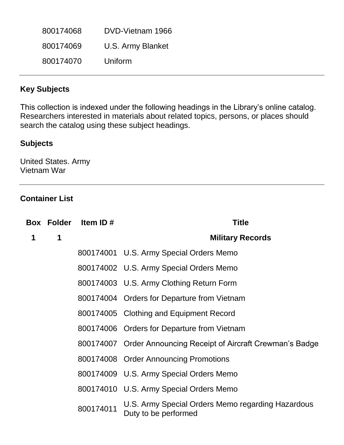| 800174068 | DVD-Vietnam 1966  |
|-----------|-------------------|
| 800174069 | U.S. Army Blanket |
| 800174070 | Uniform           |

#### **Key Subjects**

This collection is indexed under the following headings in the Library's online catalog. Researchers interested in materials about related topics, persons, or places should search the catalog using these subject headings.

## **Subjects**

United States. Army Vietnam War

#### **Container List**

|             |   | Box Folder Item ID# | <b>Title</b>                                                              |
|-------------|---|---------------------|---------------------------------------------------------------------------|
| $\mathbf 1$ | 1 |                     | <b>Military Records</b>                                                   |
|             |   |                     | 800174001 U.S. Army Special Orders Memo                                   |
|             |   |                     | 800174002 U.S. Army Special Orders Memo                                   |
|             |   |                     | 800174003 U.S. Army Clothing Return Form                                  |
|             |   |                     | 800174004 Orders for Departure from Vietnam                               |
|             |   |                     | 800174005 Clothing and Equipment Record                                   |
|             |   |                     | 800174006 Orders for Departure from Vietnam                               |
|             |   |                     | 800174007 Order Announcing Receipt of Aircraft Crewman's Badge            |
|             |   |                     | 800174008 Order Announcing Promotions                                     |
|             |   |                     | 800174009 U.S. Army Special Orders Memo                                   |
|             |   |                     | 800174010 U.S. Army Special Orders Memo                                   |
|             |   | 800174011           | U.S. Army Special Orders Memo regarding Hazardous<br>Duty to be performed |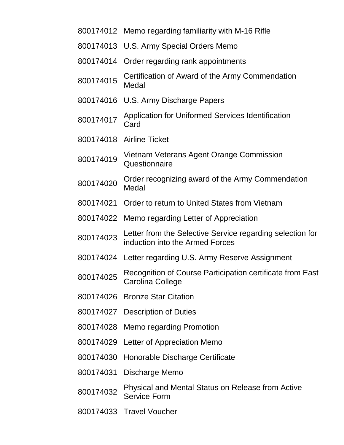- Memo regarding familiarity with M-16 Rifle
- U.S. Army Special Orders Memo
- Order regarding rank appointments
- 800174015 Certification of Award of the Army Commendation Medal
- U.S. Army Discharge Papers
- Application for Uniformed Services Identification **Card**
- Airline Ticket
- Vietnam Veterans Agent Orange Commission **Questionnaire**
- Order recognizing award of the Army Commendation Medal
- Order to return to United States from Vietnam
- Memo regarding Letter of Appreciation
- Letter from the Selective Service regarding selection for induction into the Armed Forces
- Letter regarding U.S. Army Reserve Assignment
- 800174025 Recognition of Course Participation certificate from East Carolina College
- Bronze Star Citation
- Description of Duties
- Memo regarding Promotion
- Letter of Appreciation Memo
- Honorable Discharge Certificate
- Discharge Memo
- Physical and Mental Status on Release from Active Service Form
- Travel Voucher